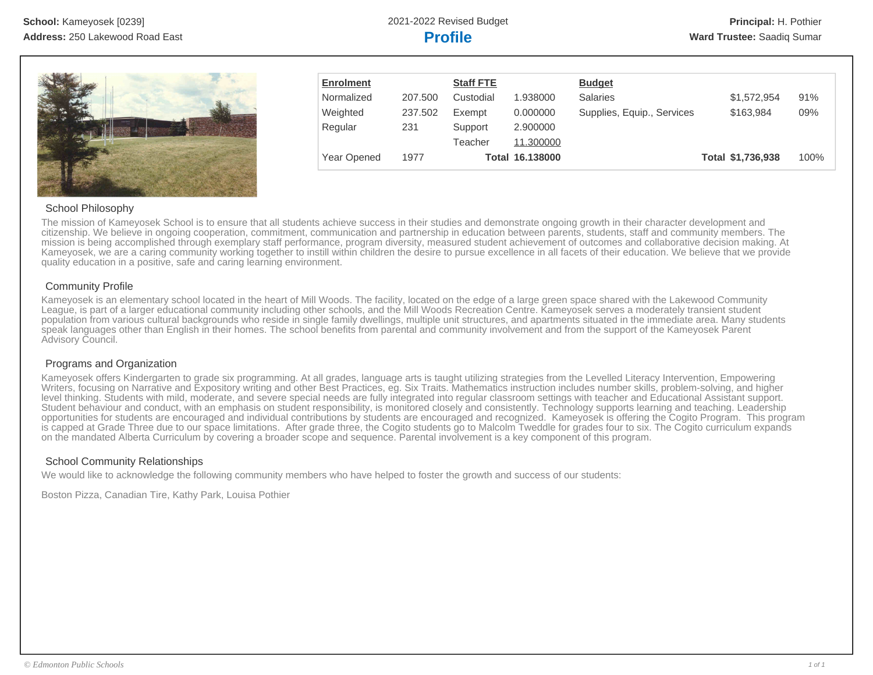

| <b>Enrolment</b> |         | <b>Staff FTE</b> |                        | <b>Budget</b>              |                   |      |
|------------------|---------|------------------|------------------------|----------------------------|-------------------|------|
| Normalized       | 207.500 | Custodial        | 1.938000               | <b>Salaries</b>            | \$1,572,954       | 91%  |
| Weighted         | 237.502 | Exempt           | 0.000000               | Supplies, Equip., Services | \$163,984         | 09%  |
| Regular          | 231     | Support          | 2.900000               |                            |                   |      |
|                  |         | Teacher          | 11.300000              |                            |                   |      |
| Year Opened      | 1977    |                  | <b>Total 16.138000</b> |                            | Total \$1,736,938 | 100% |

## School Philosophy

The mission of Kameyosek School is to ensure that all students achieve success in their studies and demonstrate ongoing growth in their character development and citizenship. We believe in ongoing cooperation, commitment, communication and partnership in education between parents, students, staff and community members. The mission is being accomplished through exemplary staff performance, program diversity, measured student achievement of outcomes and collaborative decision making. At Kameyosek, we are a caring community working together to instill within children the desire to pursue excellence in all facets of their education. We believe that we provide quality education in a positive, safe and caring learning environment.

## Community Profile

Kameyosek is an elementary school located in the heart of Mill Woods. The facility, located on the edge of a large green space shared with the Lakewood Community League, is part of a larger educational community including other schools, and the Mill Woods Recreation Centre. Kameyosek serves a moderately transient student population from various cultural backgrounds who reside in single family dwellings, multiple unit structures, and apartments situated in the immediate area. Many students speak languages other than English in their homes. The school benefits from parental and community involvement and from the support of the Kameyosek Parent Advisory Council.

## Programs and Organization

Kameyosek offers Kindergarten to grade six programming. At all grades, language arts is taught utilizing strategies from the Levelled Literacy Intervention, Empowering Writers, focusing on Narrative and Expository writing and other Best Practices, eg. Six Traits. Mathematics instruction includes number skills, problem-solving, and higher level thinking. Students with mild, moderate, and severe special needs are fully integrated into regular classroom settings with teacher and Educational Assistant support. Student behaviour and conduct, with an emphasis on student responsibility, is monitored closely and consistently. Technology supports learning and teaching. Leadership opportunities for students are encouraged and individual contributions by students are encouraged and recognized. Kameyosek is offering the Cogito Program. This program is capped at Grade Three due to our space limitations. After grade three, the Cogito students go to Malcolm Tweddle for grades four to six. The Cogito curriculum expands on the mandated Alberta Curriculum by covering a broader scope and sequence. Parental involvement is a key component of this program.

## School Community Relationships

We would like to acknowledge the following community members who have helped to foster the growth and success of our students:

Boston Pizza, Canadian Tire, Kathy Park, Louisa Pothier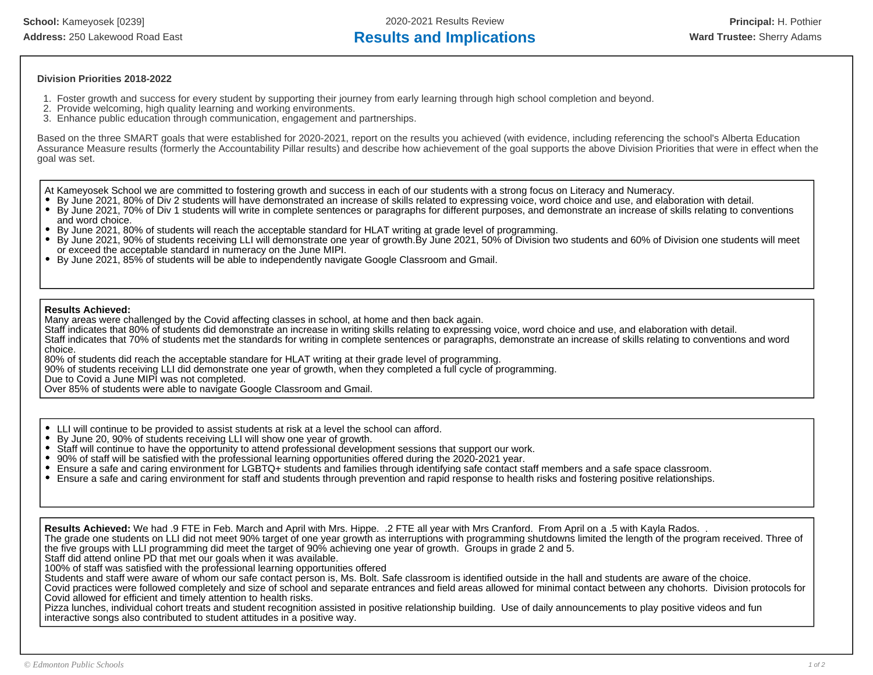**School:** Kameyosek [0239] 2020-2021 Results Review **Principal:** H. Pothier Address: 250 Lakewood Road East **Results and Implications Ward Trustee:** Sherry Adams

## **Division Priorities 2018-2022**

- 1. Foster growth and success for every student by supporting their journey from early learning through high school completion and beyond.
- 2. Provide welcoming, high quality learning and working environments.
- 3. Enhance public education through communication, engagement and partnerships.

Based on the three SMART goals that were established for 2020-2021, report on the results you achieved (with evidence, including referencing the school's Alberta Education Assurance Measure results (formerly the Accountability Pillar results) and describe how achievement of the goal supports the above Division Priorities that were in effect when the goal was set.

At Kameyosek School we are committed to fostering growth and success in each of our students with a strong focus on Literacy and Numeracy.

- By June 2021, 80% of Div 2 students will have demonstrated an increase of skills related to expressing voice, word choice and use, and elaboration with detail.
- By June 2021, 70% of Div 1 students will write in complete sentences or paragraphs for different purposes, and demonstrate an increase of skills relating to conventions and word choice.
- By June 2021, 80% of students will reach the acceptable standard for HLAT writing at grade level of programming.
- By June 2021, 90% of students receiving LLI will demonstrate one year of growth.By June 2021, 50% of Division two students and 60% of Division one students will meet or exceed the acceptable standard in numeracy on the June MIPI.
- By June 2021, 85% of students will be able to independently navigate Google Classroom and Gmail.

### **Results Achieved:**

Many areas were challenged by the Covid affecting classes in school, at home and then back again.

Staff indicates that 80% of students did demonstrate an increase in writing skills relating to expressing voice, word choice and use, and elaboration with detail. Staff indicates that 70% of students met the standards for writing in complete sentences or paragraphs, demonstrate an increase of skills relating to conventions and word choice.

80% of students did reach the acceptable standare for HLAT writing at their grade level of programming.

90% of students receiving LLI did demonstrate one year of growth, when they completed a full cycle of programming.

Due to Covid a June MIPI was not completed.

Over 85% of students were able to navigate Google Classroom and Gmail.

- $\bullet$ LLI will continue to be provided to assist students at risk at a level the school can afford.
- By June 20, 90% of students receiving LLI will show one year of growth.
- Staff will continue to have the opportunity to attend professional development sessions that support our work.
- 90% of staff will be satisfied with the professional learning opportunities offered during the 2020-2021 year.
- Ensure a safe and caring environment for LGBTQ+ students and families through identifying safe contact staff members and a safe space classroom.
- Ensure a safe and caring environment for staff and students through prevention and rapid response to health risks and fostering positive relationships.

**Results Achieved:** We had .9 FTE in Feb. March and April with Mrs. Hippe. .2 FTE all year with Mrs Cranford. From April on a .5 with Kayla Rados. .

The grade one students on LLI did not meet 90% target of one year growth as interruptions with programming shutdowns limited the length of the program received. Three of the five groups with LLI programming did meet the target of 90% achieving one year of growth. Groups in grade 2 and 5.

Staff did attend online PD that met our goals when it was available.

100% of staff was satisfied with the professional learning opportunities offered

Students and staff were aware of whom our safe contact person is, Ms. Bolt. Safe classroom is identified outside in the hall and students are aware of the choice.

Covid practices were followed completely and size of school and separate entrances and field areas allowed for minimal contact between any chohorts. Division protocols for Covid allowed for efficient and timely attention to health risks.

Pizza lunches, individual cohort treats and student recognition assisted in positive relationship building. Use of daily announcements to play positive videos and fun interactive songs also contributed to student attitudes in a positive way.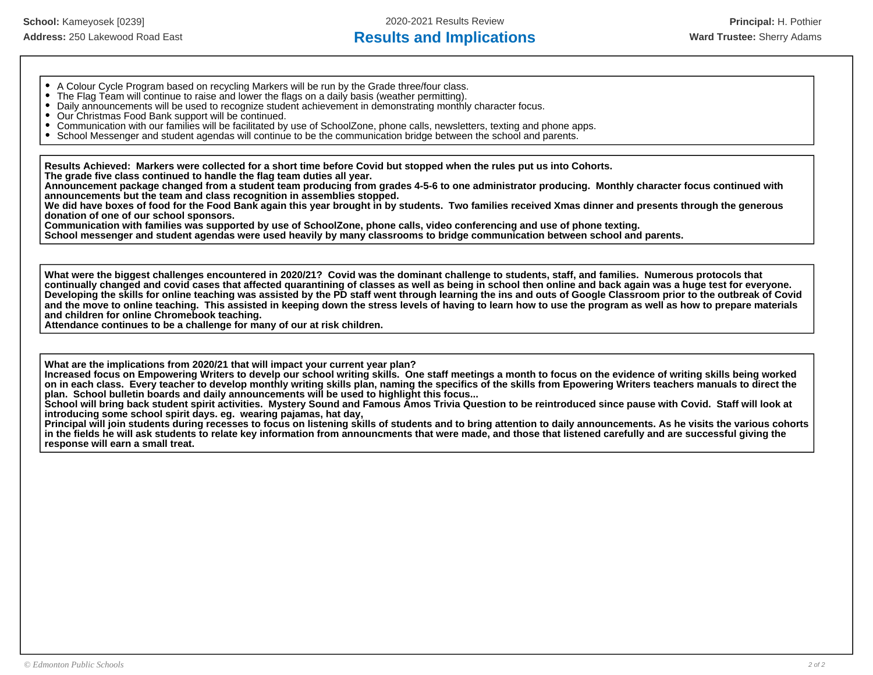## Address: 250 Lakewood Road East **Results and Implications Ward Trustee:** Sherry Adams

- A Colour Cycle Program based on recycling Markers will be run by the Grade three/four class.
- The Flag Team will continue to raise and lower the flags on a daily basis (weather permitting).
- Daily announcements will be used to recognize student achievement in demonstrating monthly character focus.
- Our Christmas Food Bank support will be continued.
- Communication with our families will be facilitated by use of SchoolZone, phone calls, newsletters, texting and phone apps.
- School Messenger and student agendas will continue to be the communication bridge between the school and parents.

**Results Achieved: Markers were collected for a short time before Covid but stopped when the rules put us into Cohorts.**

**The grade five class continued to handle the flag team duties all year.**

**Announcement package changed from a student team producing from grades 4-5-6 to one administrator producing. Monthly character focus continued with announcements but the team and class recognition in assemblies stopped.** 

**We did have boxes of food for the Food Bank again this year brought in by students. Two families received Xmas dinner and presents through the generous donation of one of our school sponsors.**

**Communication with families was supported by use of SchoolZone, phone calls, video conferencing and use of phone texting.**

**School messenger and student agendas were used heavily by many classrooms to bridge communication between school and parents.**

**What were the biggest challenges encountered in 2020/21? Covid was the dominant challenge to students, staff, and families. Numerous protocols that continually changed and covid cases that affected quarantining of classes as well as being in school then online and back again was a huge test for everyone. Developing the skills for online teaching was assisted by the PD staff went through learning the ins and outs of Google Classroom prior to the outbreak of Covid and the move to online teaching. This assisted in keeping down the stress levels of having to learn how to use the program as well as how to prepare materials and children for online Chromebook teaching.** 

**Attendance continues to be a challenge for many of our at risk children.** 

**What are the implications from 2020/21 that will impact your current year plan?** 

**Increased focus on Empowering Writers to develp our school writing skills. One staff meetings a month to focus on the evidence of writing skills being worked on in each class. Every teacher to develop monthly writing skills plan, naming the specifics of the skills from Epowering Writers teachers manuals to direct the plan. School bulletin boards and daily announcements will be used to highlight this focus...**

**School will bring back student spirit activities. Mystery Sound and Famous Amos Trivia Question to be reintroduced since pause with Covid. Staff will look at introducing some school spirit days. eg. wearing pajamas, hat day,** 

**Principal will join students during recesses to focus on listening skills of students and to bring attention to daily announcements. As he visits the various cohorts in the fields he will ask students to relate key information from announcments that were made, and those that listened carefully and are successful giving the response will earn a small treat.**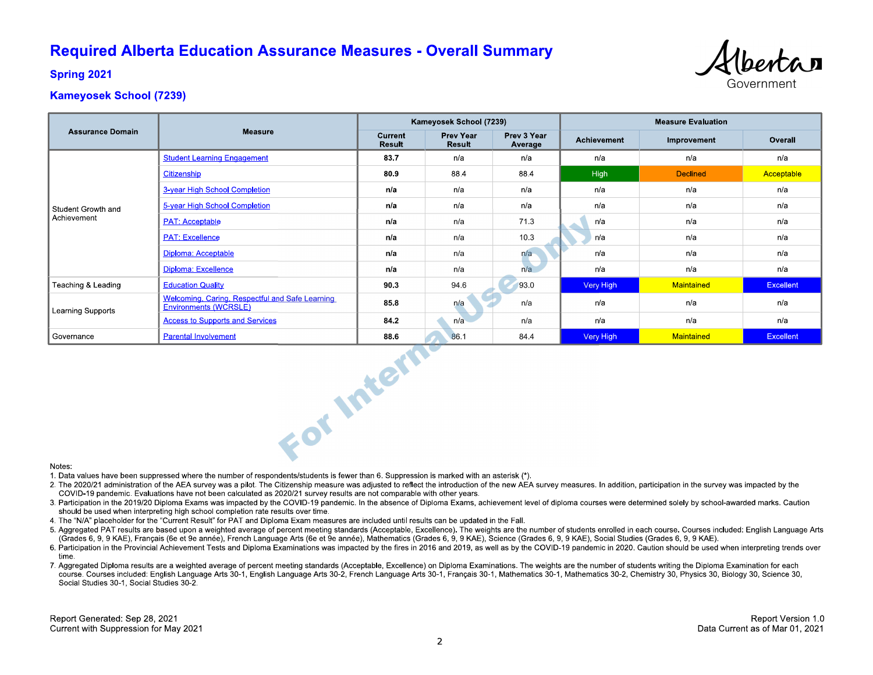# **Required Alberta Education Assurance Measures - Overall Summary**



**Spring 2021** 

## **Kameyosek School (7239)**

|                                   |                                                                          | Kameyosek School (7239)  |                            |                        | <b>Measure Evaluation</b> |                 |                  |
|-----------------------------------|--------------------------------------------------------------------------|--------------------------|----------------------------|------------------------|---------------------------|-----------------|------------------|
| <b>Assurance Domain</b>           | <b>Measure</b>                                                           | Current<br><b>Result</b> | <b>Prev Year</b><br>Result | Prev 3 Year<br>Average | Achievement               | Improvement     | Overall          |
| Student Growth and<br>Achievement | <b>Student Learning Engagement</b>                                       | 83.7                     | n/a                        | n/a                    | n/a                       | n/a             | n/a              |
|                                   | Citizenship                                                              | 80.9                     | 88.4                       | 88.4                   | High                      | <b>Declined</b> | Acceptable       |
|                                   | 3-year High School Completion                                            | n/a                      | n/a                        | n/a                    | n/a                       | n/a             | n/a              |
|                                   | 5-year High School Completion                                            | n/a                      | n/a                        | n/a                    | n/a                       | n/a             | n/a              |
|                                   | <b>PAT: Acceptable</b>                                                   | n/a                      | n/a                        | 71.3                   | n/a                       | n/a             | n/a              |
|                                   | <b>PAT: Excellence</b>                                                   | n/a                      | n/a                        | 10.3                   | n/a                       | n/a             | n/a              |
|                                   | Diploma: Acceptable                                                      | n/a                      | n/a                        | n/a                    | n/a                       | n/a             | n/a              |
|                                   | Diploma: Excellence                                                      | n/a                      | n/a                        | n/a                    | n/a                       | n/a             | n/a              |
| Teaching & Leading                | <b>Education Quality</b>                                                 | 90.3                     | 94.6                       | 93.0                   | Very High                 | Maintained      | <b>Excellent</b> |
| Learning Supports                 | Welcoming, Caring, Respectful and Safe Learning<br>Environments (WCRSLE) | 85.8                     | n/a                        | n/a                    | n/a                       | n/a             | n/a              |
|                                   | <b>Access to Supports and Services</b>                                   | 84.2                     | n/a                        | n/a                    | n/a                       | n/a             | n/a              |
| Governance                        | <b>Parental Involvement</b>                                              | 88.6                     | 86.1                       | 84.4                   | Very High                 | Maintained      | Excellent        |
| Notes:                            | For Intern                                                               |                          |                            |                        |                           |                 |                  |

#### Notes:

1. Data values have been suppressed where the number of respondents/students is fewer than 6. Suppression is marked with an asterisk (\*).

- 2. The 2020/21 administration of the AEA survey was a pilot. The Citizenship measure was adjusted to reflect the introduction of the new AEA survey measures. In addition, participation in the survey was impacted by the COVID-19 pandemic. Evaluations have not been calculated as 2020/21 survey results are not comparable with other years.
- 3. Participation in the 2019/20 Diploma Exams was impacted by the COVID-19 pandemic. In the absence of Diploma Exams, achievement level of diploma courses were determined solely by school-awarded marks. Caution should be used when interpreting high school completion rate results over time.
- 4. The "N/A" placeholder for the "Current Result" for PAT and Diploma Exam measures are included until results can be updated in the Fall.
- 5. Aggregated PAT results are based upon a weighted average of percent meeting standards (Acceptable, Excellence). The weights are the number of students enrolled in each course. Courses included: English Language Arts (Grades 6, 9, 9 KAE), Français (6e et 9e année), French Language Arts (6e et 9e année), Mathematics (Grades 6, 9, 9 KAE), Science (Grades 6, 9, 9 KAE), Social Studies (Grades 6, 9, 9 KAE).
- 6. Participation in the Provincial Achievement Tests and Diploma Examinations was impacted by the fires in 2016 and 2019, as well as by the COVID-19 pandemic in 2020. Caution should be used when interpreting trends over time
- 7. Aggregated Diploma results are a weighted average of percent meeting standards (Acceptable, Excellence) on Diploma Examinations. The weights are the number of students writing the Diploma Examination for each course. Courses included: English Language Arts 30-1, English Language Arts 30-2, French Language Arts 30-1, Français 30-1, Mathematics 30-1, Mathematics 30-2, Chemistry 30, Physics 30, Biology 30, Science 30, Social Studies 30-1, Social Studies 30-2.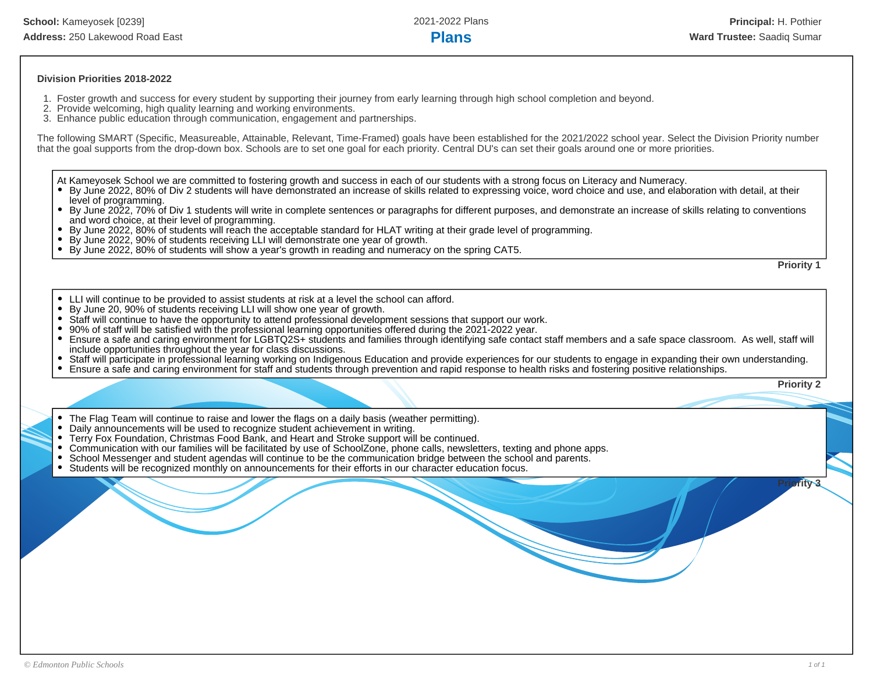## **Division Priorities 2018-2022**

- 1. Foster growth and success for every student by supporting their journey from early learning through high school completion and beyond.
- 2. Provide welcoming, high quality learning and working environments.
- 3. Enhance public education through communication, engagement and partnerships.

The following SMART (Specific, Measureable, Attainable, Relevant, Time-Framed) goals have been established for the 2021/2022 school year. Select the Division Priority number that the goal supports from the drop-down box. Schools are to set one goal for each priority. Central DU's can set their goals around one or more priorities.

At Kameyosek School we are committed to fostering growth and success in each of our students with a strong focus on Literacy and Numeracy.

- By June 2022, 80% of Div 2 students will have demonstrated an increase of skills related to expressing voice, word choice and use, and elaboration with detail, at their level of programming.
- By June 2022, 70% of Div 1 students will write in complete sentences or paragraphs for different purposes, and demonstrate an increase of skills relating to conventions and word choice, at their level of programming.
- By June 2022, 80% of students will reach the acceptable standard for HLAT writing at their grade level of programming.
- $\bullet$ By June 2022, 90% of students receiving LLI will demonstrate one year of growth.
- By June 2022, 80% of students will show a year's growth in reading and numeracy on the spring CAT5.

**Priority 1**

- LLI will continue to be provided to assist students at risk at a level the school can afford.
- By June 20, 90% of students receiving LLI will show one year of growth.
- Staff will continue to have the opportunity to attend professional development sessions that support our work.  $\bullet$
- 90% of staff will be satisfied with the professional learning opportunities offered during the 2021-2022 year.
- $\bullet$ Ensure a safe and caring environment for LGBTQ2S+ students and families through identifying safe contact staff members and a safe space classroom. As well, staff will include opportunities throughout the year for class discussions.
- Staff will participate in professional learning working on Indigenous Education and provide experiences for our students to engage in expanding their own understanding.
- Ensure a safe and caring environment for staff and students through prevention and rapid response to health risks and fostering positive relationships.  $\bullet$

**Priority 2**

**Prity 3** 

- The Flag Team will continue to raise and lower the flags on a daily basis (weather permitting).
- Daily announcements will be used to recognize student achievement in writing.
- Terry Fox Foundation, Christmas Food Bank, and Heart and Stroke support will be continued.
- Communication with our families will be facilitated by use of SchoolZone, phone calls, newsletters, texting and phone apps.
- School Messenger and student agendas will continue to be the communication bridge between the school and parents.
- Students will be recognized monthly on announcements for their efforts in our character education focus.